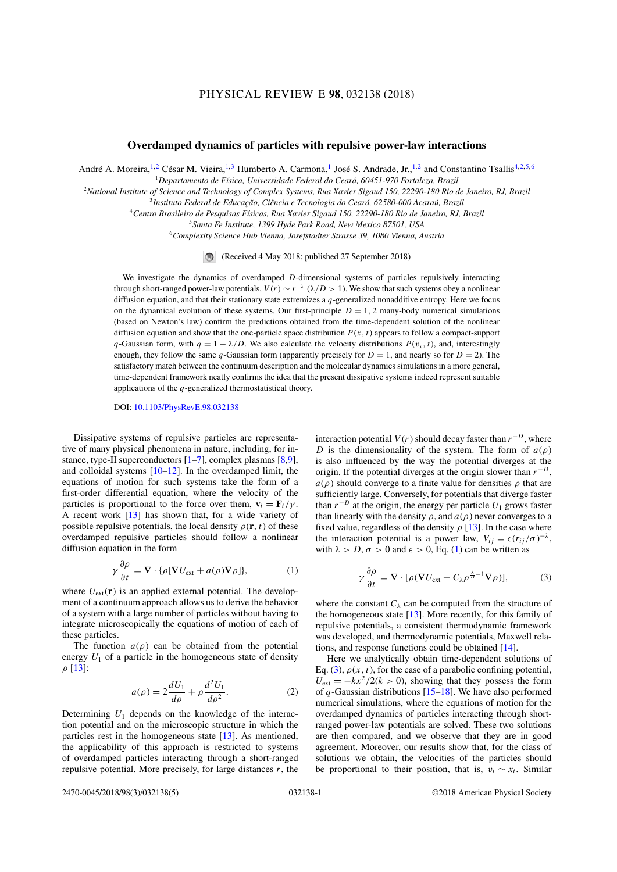## **Overdamped dynamics of particles with repulsive power-law interactions**

André A. Moreira,<sup>1,2</sup> César M. Vieira,<sup>1,3</sup> Humberto A. Carmona,<sup>1</sup> José S. Andrade, Jr.,<sup>1,2</sup> and Constantino Tsallis<sup>4,2,5,6</sup>

<sup>1</sup>*Departamento de Física, Universidade Federal do Ceará, 60451-970 Fortaleza, Brazil*

<sup>2</sup>*National Institute of Science and Technology of Complex Systems, Rua Xavier Sigaud 150, 22290-180 Rio de Janeiro, RJ, Brazil*

<sup>3</sup>*Instituto Federal de Educação, Ciência e Tecnologia do Ceará, 62580-000 Acaraú, Brazil*

<sup>4</sup>*Centro Brasileiro de Pesquisas Físicas, Rua Xavier Sigaud 150, 22290-180 Rio de Janeiro, RJ, Brazil*

<sup>5</sup>*Santa Fe Institute, 1399 Hyde Park Road, New Mexico 87501, USA*

<sup>6</sup>*Complexity Science Hub Vienna, Josefstadter Strasse 39, 1080 Vienna, Austria*

 $\bigcirc$ (Received 4 May 2018; published 27 September 2018)

We investigate the dynamics of overdamped *D*-dimensional systems of particles repulsively interacting through short-ranged power-law potentials,  $V(r) \sim r^{-\lambda}$  ( $\lambda/D > 1$ ). We show that such systems obey a nonlinear diffusion equation, and that their stationary state extremizes a *q*-generalized nonadditive entropy. Here we focus on the dynamical evolution of these systems. Our first-principle  $D = 1, 2$  many-body numerical simulations (based on Newton's law) confirm the predictions obtained from the time-dependent solution of the nonlinear diffusion equation and show that the one-particle space distribution *P* (*x,t*) appears to follow a compact-support *q*-Gaussian form, with  $q = 1 - \lambda/D$ . We also calculate the velocity distributions  $P(v_x, t)$ , and, interestingly enough, they follow the same *q*-Gaussian form (apparently precisely for  $D = 1$ , and nearly so for  $D = 2$ ). The satisfactory match between the continuum description and the molecular dynamics simulations in a more general, time-dependent framework neatly confirms the idea that the present dissipative systems indeed represent suitable applications of the *q*-generalized thermostatistical theory.

DOI: [10.1103/PhysRevE.98.032138](https://doi.org/10.1103/PhysRevE.98.032138)

Dissipative systems of repulsive particles are representative of many physical phenomena in nature, including, for instance, type-II superconductors  $[1-7]$ , complex plasmas  $[8,9]$ , and colloidal systems [10–12]. In the overdamped limit, the equations of motion for such systems take the form of a first-order differential equation, where the velocity of the particles is proportional to the force over them,  $\mathbf{v}_i = \mathbf{F}_i/\gamma$ . A recent work [13] has shown that, for a wide variety of possible repulsive potentials, the local density  $\rho(\mathbf{r}, t)$  of these overdamped repulsive particles should follow a nonlinear diffusion equation in the form

$$
\gamma \frac{\partial \rho}{\partial t} = \nabla \cdot \{ \rho [\nabla U_{\text{ext}} + a(\rho) \nabla \rho] \},\tag{1}
$$

where  $U_{ext}(\mathbf{r})$  is an applied external potential. The development of a continuum approach allows us to derive the behavior of a system with a large number of particles without having to integrate microscopically the equations of motion of each of these particles.

The function  $a(\rho)$  can be obtained from the potential energy  $U_1$  of a particle in the homogeneous state of density  $ρ$  [13]:

$$
a(\rho) = 2\frac{dU_1}{d\rho} + \rho \frac{d^2U_1}{d\rho^2}.
$$
 (2)

Determining *U*<sup>1</sup> depends on the knowledge of the interaction potential and on the microscopic structure in which the particles rest in the homogeneous state [13]. As mentioned, the applicability of this approach is restricted to systems of overdamped particles interacting through a short-ranged repulsive potential. More precisely, for large distances *r*, the interaction potential  $V(r)$  should decay faster than  $r^{-D}$ , where *D* is the dimensionality of the system. The form of  $a(\rho)$ is also influenced by the way the potential diverges at the origin. If the potential diverges at the origin slower than *r*−*<sup>D</sup>*,  $a(\rho)$  should converge to a finite value for densities  $\rho$  that are sufficiently large. Conversely, for potentials that diverge faster than  $r^{-D}$  at the origin, the energy per particle  $U_1$  grows faster than linearly with the density  $\rho$ , and  $a(\rho)$  never converges to a fixed value, regardless of the density  $\rho$  [13]. In the case where the interaction potential is a power law,  $V_{ij} = \epsilon (r_{ij}/\sigma)^{-\lambda}$ , with  $\lambda > D$ ,  $\sigma > 0$  and  $\epsilon > 0$ , Eq. (1) can be written as

$$
\gamma \frac{\partial \rho}{\partial t} = \nabla \cdot [\rho (\nabla U_{ext} + C_{\lambda} \rho^{\frac{\lambda}{D} - 1} \nabla \rho)],\tag{3}
$$

where the constant  $C_{\lambda}$  can be computed from the structure of the homogeneous state [13]. More recently, for this family of repulsive potentials, a consistent thermodynamic framework was developed, and thermodynamic potentials, Maxwell relations, and response functions could be obtained [14].

Here we analytically obtain time-dependent solutions of Eq. (3),  $\rho(x, t)$ , for the case of a parabolic confining potential,  $U_{ext} = -kx^2/2(k > 0)$ , showing that they possess the form of *q*-Gaussian distributions [15–18]. We have also performed numerical simulations, where the equations of motion for the overdamped dynamics of particles interacting through shortranged power-law potentials are solved. These two solutions are then compared, and we observe that they are in good agreement. Moreover, our results show that, for the class of solutions we obtain, the velocities of the particles should be proportional to their position, that is,  $v_i \sim x_i$ . Similar

2470-0045/2018/98(3)/032138(5) 032138-1 ©2018 American Physical Society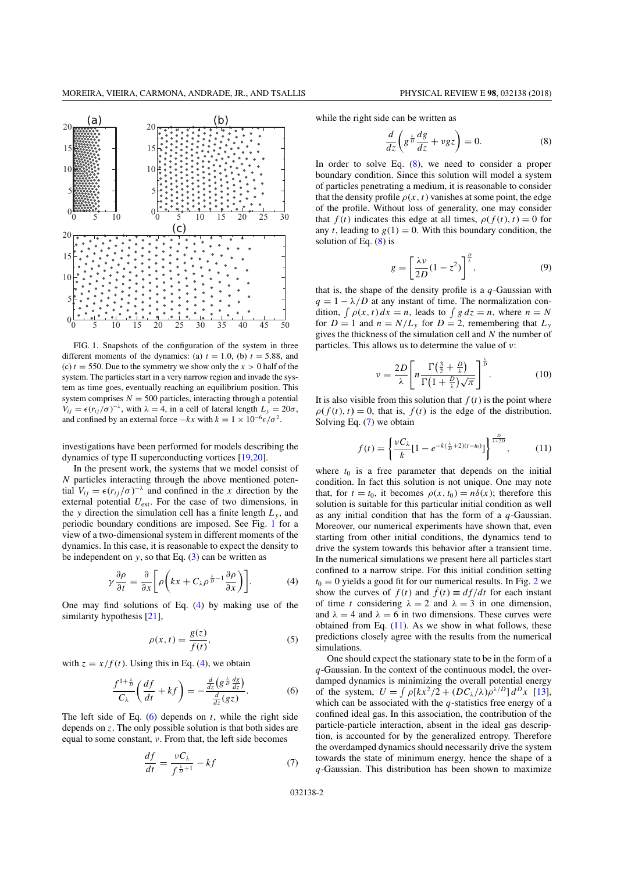

FIG. 1. Snapshots of the configuration of the system in three different moments of the dynamics: (a)  $t = 1.0$ , (b)  $t = 5.88$ , and (c)  $t = 550$ . Due to the symmetry we show only the  $x > 0$  half of the system. The particles start in a very narrow region and invade the system as time goes, eventually reaching an equilibrium position. This system comprises  $N = 500$  particles, interacting through a potential  $V_{ij} = \epsilon (r_{ij}/\sigma)^{-\lambda}$ , with  $\lambda = 4$ , in a cell of lateral length  $L_y = 20\sigma$ , and confined by an external force  $-kx$  with  $k = 1 \times 10^{-6} \epsilon/\sigma^2$ .

investigations have been performed for models describing the dynamics of type II superconducting vortices [19,20].

In the present work, the systems that we model consist of *N* particles interacting through the above mentioned potential  $V_{ij} = \epsilon (r_{ij}/\sigma)^{-\lambda}$  and confined in the *x* direction by the external potential *U*ext. For the case of two dimensions, in the *y* direction the simulation cell has a finite length  $L<sub>v</sub>$ , and periodic boundary conditions are imposed. See Fig. 1 for a view of a two-dimensional system in different moments of the dynamics. In this case, it is reasonable to expect the density to be independent on  $y$ , so that Eq.  $(3)$  can be written as

$$
\gamma \frac{\partial \rho}{\partial t} = \frac{\partial}{\partial x} \bigg[ \rho \bigg( kx + C_{\lambda} \rho^{\frac{\lambda}{D} - 1} \frac{\partial \rho}{\partial x} \bigg) \bigg]. \tag{4}
$$

One may find solutions of Eq. (4) by making use of the similarity hypothesis [21],

$$
\rho(x,t) = \frac{g(z)}{f(t)},\tag{5}
$$

with  $z = x/f(t)$ . Using this in Eq. (4), we obtain

*df*

$$
\frac{f^{1+\frac{\lambda}{D}}}{C_{\lambda}}\left(\frac{df}{dt} + kf\right) = -\frac{\frac{d}{dz}\left(g^{\frac{\lambda}{D}}\frac{dg}{dz}\right)}{\frac{d}{dz}(gz)}.
$$
(6)

The left side of Eq.  $(6)$  depends on *t*, while the right side depends on *z*. The only possible solution is that both sides are equal to some constant, ν. From that, the left side becomes

$$
\frac{df}{dt} = \frac{vC_{\lambda}}{f^{\frac{\lambda}{D}+1}} - kf \tag{7}
$$

while the right side can be written as

$$
\frac{d}{dz}\left(g^{\frac{\lambda}{D}}\frac{dg}{dz} + vgz\right) = 0.\tag{8}
$$

In order to solve Eq. (8), we need to consider a proper boundary condition. Since this solution will model a system of particles penetrating a medium, it is reasonable to consider that the density profile  $\rho(x, t)$  vanishes at some point, the edge of the profile. Without loss of generality, one may consider that  $f(t)$  indicates this edge at all times,  $\rho(f(t), t) = 0$  for any *t*, leading to  $g(1) = 0$ . With this boundary condition, the solution of Eq.  $(8)$  is

$$
g = \left[\frac{\lambda v}{2D}(1 - z^2)\right]^{\frac{D}{\lambda}},\tag{9}
$$

that is, the shape of the density profile is a *q*-Gaussian with  $q = 1 - \lambda/D$  at any instant of time. The normalization condition,  $\int \rho(x, t) dx = n$ , leads to  $\int g dz = n$ , where  $n = N$ for  $D = 1$  and  $n = N/L_v$  for  $D = 2$ , remembering that  $L_v$ gives the thickness of the simulation cell and *N* the number of particles. This allows us to determine the value of  $\nu$ :

$$
\nu = \frac{2D}{\lambda} \left[ n \frac{\Gamma(\frac{3}{2} + \frac{D}{\lambda})}{\Gamma(1 + \frac{D}{\lambda})\sqrt{\pi}} \right]^{\frac{\lambda}{D}}.
$$
 (10)

It is also visible from this solution that  $f(t)$  is the point where  $\rho(f(t), t) = 0$ , that is,  $f(t)$  is the edge of the distribution. Solving Eq. (7) we obtain

$$
f(t) = \left\{ \frac{\nu C_{\lambda}}{k} [1 - e^{-k(\frac{\lambda}{D} + 2)(t - t_0)}] \right\}^{\frac{D}{\lambda + 2D}}, \quad (11)
$$

where  $t_0$  is a free parameter that depends on the initial condition. In fact this solution is not unique. One may note that, for  $t = t_0$ , it becomes  $\rho(x, t_0) = n\delta(x)$ ; therefore this solution is suitable for this particular initial condition as well as any initial condition that has the form of a *q*-Gaussian. Moreover, our numerical experiments have shown that, even starting from other initial conditions, the dynamics tend to drive the system towards this behavior after a transient time. In the numerical simulations we present here all particles start confined to a narrow stripe. For this initial condition setting  $t_0 = 0$  yields a good fit for our numerical results. In Fig. 2 we show the curves of  $f(t)$  and  $\dot{f}(t) \equiv df/dt$  for each instant of time *t* considering  $\lambda = 2$  and  $\lambda = 3$  in one dimension, and  $\lambda = 4$  and  $\lambda = 6$  in two dimensions. These curves were obtained from Eq.  $(11)$ . As we show in what follows, these predictions closely agree with the results from the numerical simulations.

One should expect the stationary state to be in the form of a *q*-Gaussian. In the context of the continuous model, the overdamped dynamics is minimizing the overall potential energy of the system,  $U = \int \rho [kx^2/2 + (DC_\lambda/\lambda)\rho^{\lambda/D}] d^D x$  [13], which can be associated with the *q*-statistics free energy of a confined ideal gas. In this association, the contribution of the particle-particle interaction, absent in the ideal gas description, is accounted for by the generalized entropy. Therefore the overdamped dynamics should necessarily drive the system towards the state of minimum energy, hence the shape of a *q*-Gaussian. This distribution has been shown to maximize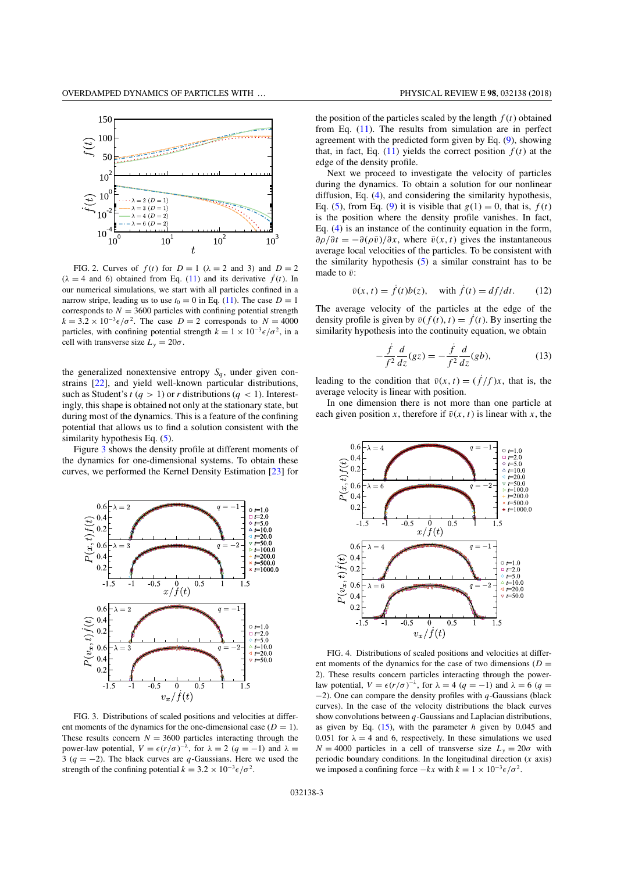

FIG. 2. Curves of  $f(t)$  for  $D = 1$  ( $\lambda = 2$  and 3) and  $D = 2$  $(\lambda = 4$  and 6) obtained from Eq. (11) and its derivative  $\hat{f}(t)$ . In our numerical simulations, we start with all particles confined in a narrow stripe, leading us to use  $t_0 = 0$  in Eq. (11). The case  $D = 1$ corresponds to  $N = 3600$  particles with confining potential strength  $k = 3.2 \times 10^{-3} \epsilon/\sigma^2$ . The case  $D = 2$  corresponds to  $N = 4000$ particles, with confining potential strength  $k = 1 \times 10^{-3} \epsilon / \sigma^2$ , in a cell with transverse size  $L_y = 20\sigma$ .

the generalized nonextensive entropy  $S_q$ , under given constrains [22], and yield well-known particular distributions, such as Student's  $t (q > 1)$  or  $r$  distributions  $(q < 1)$ . Interestingly, this shape is obtained not only at the stationary state, but during most of the dynamics. This is a feature of the confining potential that allows us to find a solution consistent with the similarity hypothesis Eq.  $(5)$ .

Figure 3 shows the density profile at different moments of the dynamics for one-dimensional systems. To obtain these curves, we performed the Kernel Density Estimation [23] for



FIG. 3. Distributions of scaled positions and velocities at different moments of the dynamics for the one-dimensional case  $(D = 1)$ . These results concern  $N = 3600$  particles interacting through the power-law potential, *V* =  $\epsilon$ (*r*/*σ*)<sup> $-λ$ </sup>, for  $λ = 2$  (*q* = −1) and  $λ$  = 3 (*q* = −2). The black curves are *q*-Gaussians. Here we used the strength of the confining potential  $k = 3.2 \times 10^{-3} \epsilon / \sigma^2$ .

the position of the particles scaled by the length  $f(t)$  obtained from Eq. (11). The results from simulation are in perfect agreement with the predicted form given by Eq. (9), showing that, in fact, Eq.  $(11)$  yields the correct position  $f(t)$  at the edge of the density profile.

Next we proceed to investigate the velocity of particles during the dynamics. To obtain a solution for our nonlinear diffusion, Eq. (4), and considering the similarity hypothesis, Eq. (5), from Eq. (9) it is visible that  $g(1) = 0$ , that is,  $f(t)$ is the position where the density profile vanishes. In fact, Eq. (4) is an instance of the continuity equation in the form,  $\partial \rho / \partial t = -\partial (\rho \bar{v}) / \partial x$ , where  $\bar{v}(x, t)$  gives the instantaneous average local velocities of the particles. To be consistent with the similarity hypothesis (5) a similar constraint has to be made to  $\bar{v}$ :

$$
\bar{v}(x,t) = \dot{f}(t)b(z), \quad \text{with } \dot{f}(t) = df/dt. \tag{12}
$$

The average velocity of the particles at the edge of the density profile is given by  $\bar{v}(f(t), t) = \dot{f}(t)$ . By inserting the similarity hypothesis into the continuity equation, we obtain

$$
-\frac{\dot{f}}{f^2}\frac{d}{dz}(gz) = -\frac{\dot{f}}{f^2}\frac{d}{dz}(gb),\tag{13}
$$

leading to the condition that  $\bar{v}(x,t) = (\dot{f}/f)x$ , that is, the average velocity is linear with position.

In one dimension there is not more than one particle at each given position *x*, therefore if  $\bar{v}(x, t)$  is linear with *x*, the



FIG. 4. Distributions of scaled positions and velocities at different moments of the dynamics for the case of two dimensions  $(D =$ 2). These results concern particles interacting through the powerlaw potential,  $V = \epsilon (r/\sigma)^{-\lambda}$ , for  $\lambda = 4$  ( $q = -1$ ) and  $\lambda = 6$  ( $q =$ −2). One can compare the density profiles with *q*-Gaussians (black curves). In the case of the velocity distributions the black curves show convolutions between *q*-Gaussians and Laplacian distributions, as given by Eq. (15), with the parameter *h* given by 0.045 and 0.051 for  $\lambda = 4$  and 6, respectively. In these simulations we used  $N = 4000$  particles in a cell of transverse size  $L<sub>v</sub> = 20\sigma$  with periodic boundary conditions. In the longitudinal direction (*x* axis) we imposed a confining force  $-kx$  with  $k = 1 \times 10^{-3} \epsilon/\sigma^2$ .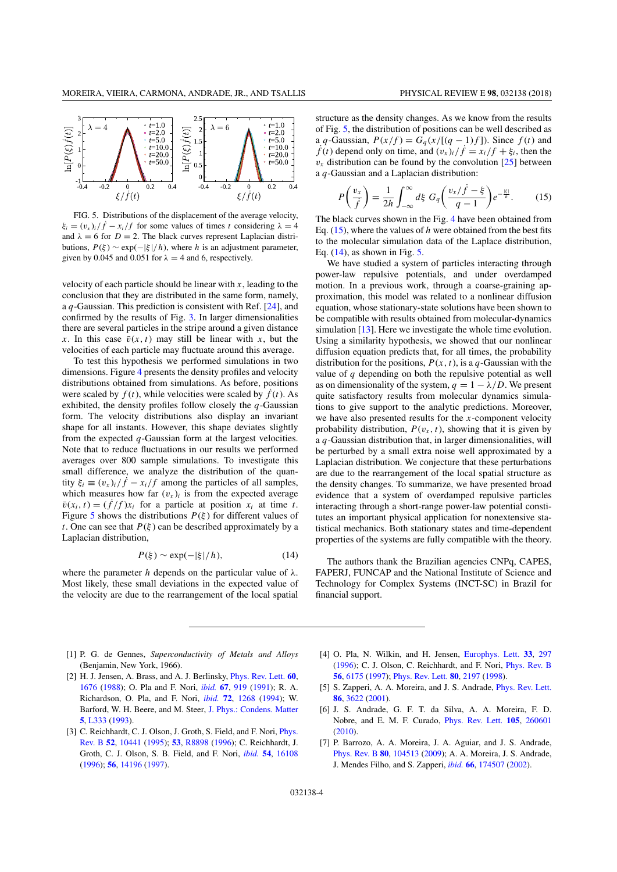

FIG. 5. Distributions of the displacement of the average velocity,  $\xi_i = (v_x)_i / f - x_i / f$  for some values of times *t* considering  $\lambda = 4$ and  $\lambda = 6$  for  $D = 2$ . The black curves represent Laplacian distributions,  $P(\xi) \sim \exp(-|\xi|/h)$ , where *h* is an adjustment parameter, given by 0.045 and 0.051 for  $\lambda = 4$  and 6, respectively.

velocity of each particle should be linear with *x*, leading to the conclusion that they are distributed in the same form, namely, a *q*-Gaussian. This prediction is consistent with Ref. [24], and confirmed by the results of Fig. 3. In larger dimensionalities there are several particles in the stripe around a given distance *x*. In this case  $\bar{v}(x, t)$  may still be linear with *x*, but the velocities of each particle may fluctuate around this average.

To test this hypothesis we performed simulations in two dimensions. Figure 4 presents the density profiles and velocity distributions obtained from simulations. As before, positions were scaled by  $f(t)$ , while velocities were scaled by  $\dot{f}(t)$ . As exhibited, the density profiles follow closely the *q*-Gaussian form. The velocity distributions also display an invariant shape for all instants. However, this shape deviates slightly from the expected *q*-Gaussian form at the largest velocities. Note that to reduce fluctuations in our results we performed averages over 800 sample simulations. To investigate this small difference, we analyze the distribution of the quantity  $\xi_i \equiv (v_x)_i / \dot{f} - x_i / f$  among the particles of all samples, which measures how far  $(v<sub>x</sub>)<sub>i</sub>$  is from the expected average  $\bar{v}(x_i, t) = (\dot{f}/f)x_i$  for a particle at position  $x_i$  at time *t*. Figure 5 shows the distributions  $P(\xi)$  for different values of *t*. One can see that  $P(\xi)$  can be described approximately by a Laplacian distribution,

$$
P(\xi) \sim \exp(-|\xi|/h),\tag{14}
$$

where the parameter *h* depends on the particular value of  $\lambda$ . Most likely, these small deviations in the expected value of the velocity are due to the rearrangement of the local spatial structure as the density changes. As we know from the results of Fig. 5, the distribution of positions can be well described as a *q*-Gaussian,  $P(x/f) = G_q(x/[(q-1)f])$ . Since  $f(t)$  and  $\dot{f}(t)$  depend only on time, and  $(v_x)_i/\dot{f} = x_i/f + \xi_i$ , then the  $v_x$  distribution can be found by the convolution  $[25]$  between a *q*-Gaussian and a Laplacian distribution:

$$
P\left(\frac{v_x}{\dot{f}}\right) = \frac{1}{2h} \int_{-\infty}^{\infty} d\xi \ G_q\left(\frac{v_x/\dot{f} - \xi}{q - 1}\right) e^{-\frac{|\xi|}{h}}.\tag{15}
$$

The black curves shown in the Fig. 4 have been obtained from Eq. (15), where the values of *h* were obtained from the best fits to the molecular simulation data of the Laplace distribution, Eq. (14), as shown in Fig. 5.

We have studied a system of particles interacting through power-law repulsive potentials, and under overdamped motion. In a previous work, through a coarse-graining approximation, this model was related to a nonlinear diffusion equation, whose stationary-state solutions have been shown to be compatible with results obtained from molecular-dynamics simulation [13]. Here we investigate the whole time evolution. Using a similarity hypothesis, we showed that our nonlinear diffusion equation predicts that, for all times, the probability distribution for the positions,  $P(x, t)$ , is a *q*-Gaussian with the value of *q* depending on both the repulsive potential as well as on dimensionality of the system,  $q = 1 - \lambda/D$ . We present quite satisfactory results from molecular dynamics simulations to give support to the analytic predictions. Moreover, we have also presented results for the *x*-component velocity probability distribution,  $P(v_x, t)$ , showing that it is given by a *q*-Gaussian distribution that, in larger dimensionalities, will be perturbed by a small extra noise well approximated by a Laplacian distribution. We conjecture that these perturbations are due to the rearrangement of the local spatial structure as the density changes. To summarize, we have presented broad evidence that a system of overdamped repulsive particles interacting through a short-range power-law potential constitutes an important physical application for nonextensive statistical mechanics. Both stationary states and time-dependent properties of the systems are fully compatible with the theory.

The authors thank the Brazilian agencies CNPq, CAPES, FAPERJ, FUNCAP and the National Institute of Science and Technology for Complex Systems (INCT-SC) in Brazil for financial support.

- [1] P. G. de Gennes, *Superconductivity of Metals and Alloys* (Benjamin, New York, 1966).
- [2] H. J. Jensen, A. Brass, and A. J. Berlinsky, [Phys. Rev. Lett.](https://doi.org/10.1103/PhysRevLett.60.1676) **[60](https://doi.org/10.1103/PhysRevLett.60.1676)**, [1676](https://doi.org/10.1103/PhysRevLett.60.1676) [\(1988\)](https://doi.org/10.1103/PhysRevLett.60.1676); O. Pla and F. Nori, *[ibid.](https://doi.org/10.1103/PhysRevLett.67.919)* **[67](https://doi.org/10.1103/PhysRevLett.67.919)**, [919](https://doi.org/10.1103/PhysRevLett.67.919) [\(1991\)](https://doi.org/10.1103/PhysRevLett.67.919); R. A. Richardson, O. Pla, and F. Nori, *[ibid.](https://doi.org/10.1103/PhysRevLett.72.1268)* **[72](https://doi.org/10.1103/PhysRevLett.72.1268)**, [1268](https://doi.org/10.1103/PhysRevLett.72.1268) [\(1994\)](https://doi.org/10.1103/PhysRevLett.72.1268); W. Barford, W. H. Beere, and M. Steer, [J. Phys.: Condens. Matter](https://doi.org/10.1088/0953-8984/5/27/002) **[5](https://doi.org/10.1088/0953-8984/5/27/002)**, [L333](https://doi.org/10.1088/0953-8984/5/27/002) [\(1993\)](https://doi.org/10.1088/0953-8984/5/27/002).
- [3] [C. Reichhardt, C. J. Olson, J. Groth, S. Field, and F. Nori,](https://doi.org/10.1103/PhysRevB.52.10441) *Phys.* Rev. B **[52](https://doi.org/10.1103/PhysRevB.52.10441)**, [10441](https://doi.org/10.1103/PhysRevB.52.10441) [\(1995\)](https://doi.org/10.1103/PhysRevB.52.10441); **[53](https://doi.org/10.1103/PhysRevB.53.R8898)**, [R8898](https://doi.org/10.1103/PhysRevB.53.R8898) [\(1996\)](https://doi.org/10.1103/PhysRevB.53.R8898); C. Reichhardt, J. Groth, C. J. Olson, S. B. Field, and F. Nori, *[ibid.](https://doi.org/10.1103/PhysRevB.54.16108)* **[54](https://doi.org/10.1103/PhysRevB.54.16108)**, [16108](https://doi.org/10.1103/PhysRevB.54.16108) [\(1996\)](https://doi.org/10.1103/PhysRevB.54.16108); **[56](https://doi.org/10.1103/PhysRevB.56.14196)**, [14196](https://doi.org/10.1103/PhysRevB.56.14196) [\(1997\)](https://doi.org/10.1103/PhysRevB.56.14196).
- [4] O. Pla, N. Wilkin, and H. Jensen, [Europhys. Lett.](https://doi.org/10.1209/epl/i1996-00336-3) **[33](https://doi.org/10.1209/epl/i1996-00336-3)**, [297](https://doi.org/10.1209/epl/i1996-00336-3) [\(1996\)](https://doi.org/10.1209/epl/i1996-00336-3); C. J. Olson, C. Reichhardt, and F. Nori, [Phys. Rev. B](https://doi.org/10.1103/PhysRevB.56.6175) **[56](https://doi.org/10.1103/PhysRevB.56.6175)**, [6175](https://doi.org/10.1103/PhysRevB.56.6175) [\(1997\)](https://doi.org/10.1103/PhysRevB.56.6175); [Phys. Rev. Lett.](https://doi.org/10.1103/PhysRevLett.80.2197) **[80](https://doi.org/10.1103/PhysRevLett.80.2197)**, [2197](https://doi.org/10.1103/PhysRevLett.80.2197) [\(1998\)](https://doi.org/10.1103/PhysRevLett.80.2197).
- [5] S. Zapperi, A. A. Moreira, and J. S. Andrade, [Phys. Rev. Lett.](https://doi.org/10.1103/PhysRevLett.86.3622) **[86](https://doi.org/10.1103/PhysRevLett.86.3622)**, [3622](https://doi.org/10.1103/PhysRevLett.86.3622) [\(2001\)](https://doi.org/10.1103/PhysRevLett.86.3622).
- [6] J. S. Andrade, G. F. T. da Silva, A. A. Moreira, F. D. Nobre, and E. M. F. Curado, [Phys. Rev. Lett.](https://doi.org/10.1103/PhysRevLett.105.260601) **[105](https://doi.org/10.1103/PhysRevLett.105.260601)**, [260601](https://doi.org/10.1103/PhysRevLett.105.260601) [\(2010\)](https://doi.org/10.1103/PhysRevLett.105.260601).
- [7] P. Barrozo, A. A. Moreira, J. A. Aguiar, and J. S. Andrade, [Phys. Rev. B](https://doi.org/10.1103/PhysRevB.80.104513) **[80](https://doi.org/10.1103/PhysRevB.80.104513)**, [104513](https://doi.org/10.1103/PhysRevB.80.104513) [\(2009\)](https://doi.org/10.1103/PhysRevB.80.104513); A. A. Moreira, J. S. Andrade, J. Mendes Filho, and S. Zapperi, *[ibid.](https://doi.org/10.1103/PhysRevB.66.174507)* **[66](https://doi.org/10.1103/PhysRevB.66.174507)**, [174507](https://doi.org/10.1103/PhysRevB.66.174507) [\(2002\)](https://doi.org/10.1103/PhysRevB.66.174507).